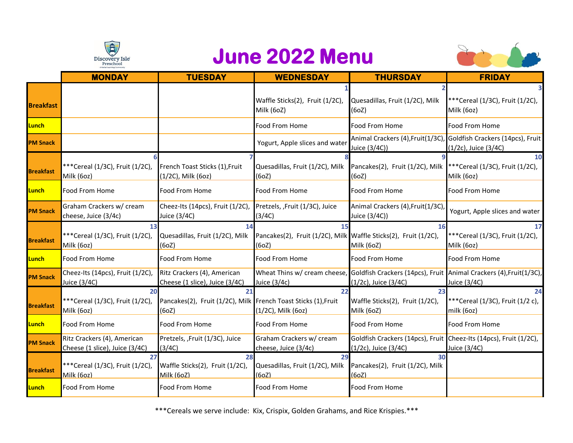

## **June 2022 Menu**



|                  | <b>MONDAY</b>                                                 | <b>TUESDAY</b>                                                                | <b>WEDNESDAY</b>                                                         | <b>THURSDAY</b>                                                                           | <b>FRIDAY</b>                                                                                                    |
|------------------|---------------------------------------------------------------|-------------------------------------------------------------------------------|--------------------------------------------------------------------------|-------------------------------------------------------------------------------------------|------------------------------------------------------------------------------------------------------------------|
| <b>Breakfast</b> |                                                               |                                                                               | Waffle Sticks(2), Fruit (1/2C),<br>Milk (6oZ)                            | Quesadillas, Fruit (1/2C), Milk<br>(6oZ)                                                  | ***Cereal (1/3C), Fruit (1/2C),<br>Milk (6oz)                                                                    |
| Lunch            |                                                               |                                                                               | Food From Home                                                           | Food From Home                                                                            | Food From Home                                                                                                   |
| <b>PM Snack</b>  |                                                               |                                                                               | Yogurt, Apple slices and water                                           | Animal Crackers (4), Fruit (1/3C)<br>Juice (3/4C))                                        | Goldfish Crackers (14pcs), Fruit<br>(1/2c), Juice (3/4C)                                                         |
| <b>Breakfast</b> | ***Cereal (1/3C), Fruit (1/2C),<br>Milk (6oz)                 | French Toast Sticks (1), Fruit<br>(1/2C), Milk (6oz)                          | Quesadillas, Fruit (1/2C), Milk<br>(6oZ)                                 | Pancakes(2), Fruit (1/2C), Milk *** Cereal (1/3C), Fruit (1/2C),<br>(6oZ)                 | 10<br>Milk (6oz)                                                                                                 |
| Lunch            | Food From Home                                                | Food From Home                                                                | Food From Home                                                           | Food From Home                                                                            | Food From Home                                                                                                   |
| <b>PM Snack</b>  | Graham Crackers w/ cream<br>cheese, Juice (3/4c)              | Cheez-Its (14pcs), Fruit (1/2C),<br>Juice (3/4C)                              | Pretzels, ,Fruit (1/3C), Juice<br>(3/4C)                                 | Animal Crackers (4), Fruit (1/3C)<br>Juice (3/4C))                                        | Yogurt, Apple slices and water                                                                                   |
| <b>Breakfast</b> | 13<br>***Cereal (1/3C), Fruit (1/2C),<br>Milk (6oz)           | 14<br>Quesadillas, Fruit (1/2C), Milk<br>(60Z)                                | Pancakes(2), Fruit (1/2C), Milk Waffle Sticks(2), Fruit (1/2C),<br>(6oZ) | 16<br>Milk (6oZ)                                                                          | 17<br>***Cereal (1/3C), Fruit (1/2C),<br>Milk (6oz)                                                              |
| Lunch            | Food From Home                                                | Food From Home                                                                | Food From Home                                                           | Food From Home                                                                            | Food From Home                                                                                                   |
| <b>PM Snack</b>  | Cheez-Its (14pcs), Fruit (1/2C),<br>Juice (3/4C)              | Ritz Crackers (4), American<br>Cheese (1 slice), Juice (3/4C)                 | Juice (3/4c)                                                             | (1/2c), Juice (3/4C)                                                                      | Wheat Thins w/ cream cheese, Goldfish Crackers (14pcs), Fruit Animal Crackers (4), Fruit (1/3C),<br>Juice (3/4C) |
| <b>Breakfast</b> | 20<br>***Cereal (1/3C), Fruit (1/2C),<br>Milk (6oz)           | 21<br>Pancakes(2), Fruit (1/2C), Milk French Toast Sticks (1), Fruit<br>(6oZ) | 22<br>(1/2C), Milk (6oz)                                                 | 23<br>Waffle Sticks(2), Fruit (1/2C),<br>Milk (6oZ)                                       | 24<br>***Cereal (1/3C), Fruit (1/2 c),<br>milk (6oz)                                                             |
| Lunch            | Food From Home                                                | Food From Home                                                                | Food From Home                                                           | Food From Home                                                                            | Food From Home                                                                                                   |
| <b>PM Snack</b>  | Ritz Crackers (4), American<br>Cheese (1 slice), Juice (3/4C) | Pretzels, ,Fruit (1/3C), Juice<br>(3/4C)                                      | Graham Crackers w/ cream<br>cheese, Juice (3/4c)                         | Goldfish Crackers (14pcs), Fruit Cheez-Its (14pcs), Fruit (1/2C),<br>(1/2c), Juice (3/4C) | Juice (3/4C)                                                                                                     |
| <b>Breakfast</b> | 27<br>***Cereal (1/3C), Fruit (1/2C),<br>Milk (6oz)           | 28<br>Waffle Sticks(2), Fruit (1/2C),<br>Milk (6oZ)                           | 29<br>Quesadillas, Fruit (1/2C), Milk<br>(60Z)                           | 30<br>Pancakes(2), Fruit (1/2C), Milk<br>(60Z)                                            |                                                                                                                  |
| Lunch            | Food From Home                                                | Food From Home                                                                | Food From Home                                                           | Food From Home                                                                            |                                                                                                                  |

\*\*\*Cereals we serve include: Kix, Crispix, Golden Grahams, and Rice Krispies.\*\*\*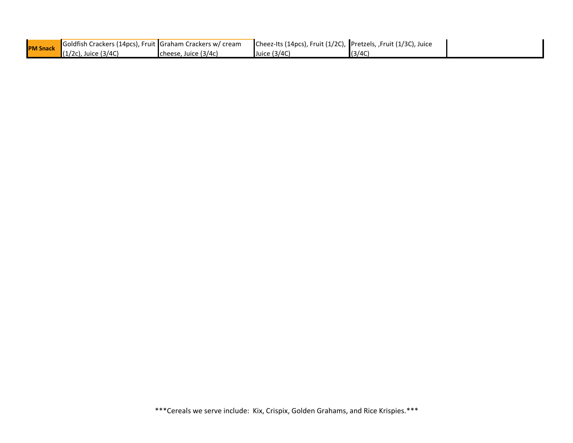| <b>PM Snack</b> | Goldfish Crackers (14pcs), Fruit Graham Crackers w/ cream |                      | Cheez-Its (14pcs), Fruit (1/2C), Pretzels, , Fruit (1/3C), Juice |        |  |
|-----------------|-----------------------------------------------------------|----------------------|------------------------------------------------------------------|--------|--|
|                 | $(1/2c)$ , Juice (3/4C)                                   | cheese, Juice (3/4c) | Juice (3/4C)                                                     | (3/4C) |  |

\*\*\*Cereals we serve include: Kix, Crispix, Golden Grahams, and Rice Krispies.\*\*\*